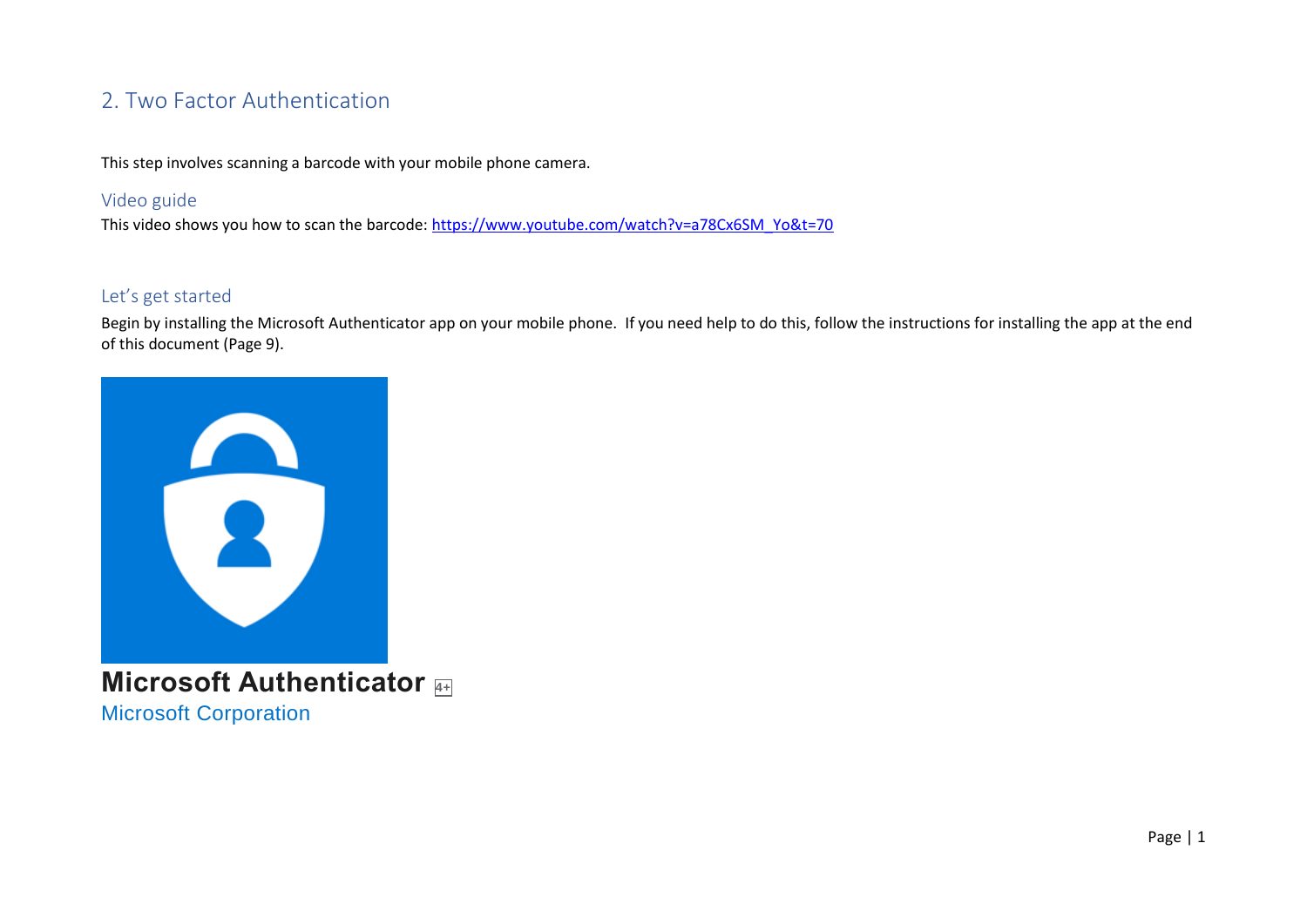# 2. Two Factor Authentication

This step involves scanning a barcode with your mobile phone camera.

## Video guide

This video shows you how to scan the barcode: [https://www.youtube.com/watch?v=a78Cx6SM\\_Yo&t=70](https://www.youtube.com/watch?v=a78Cx6SM_Yo&t=70)

### Let's get started

Begin by installing the Microsoft Authenticator app on your mobile phone. If you need help to do this, follow the instructions for installing the app at the end of this document (Page 9).



**Microsoft Authenticator 4+** [Microsoft Corporation](https://apps.apple.com/au/developer/microsoft-corporation/id298856275)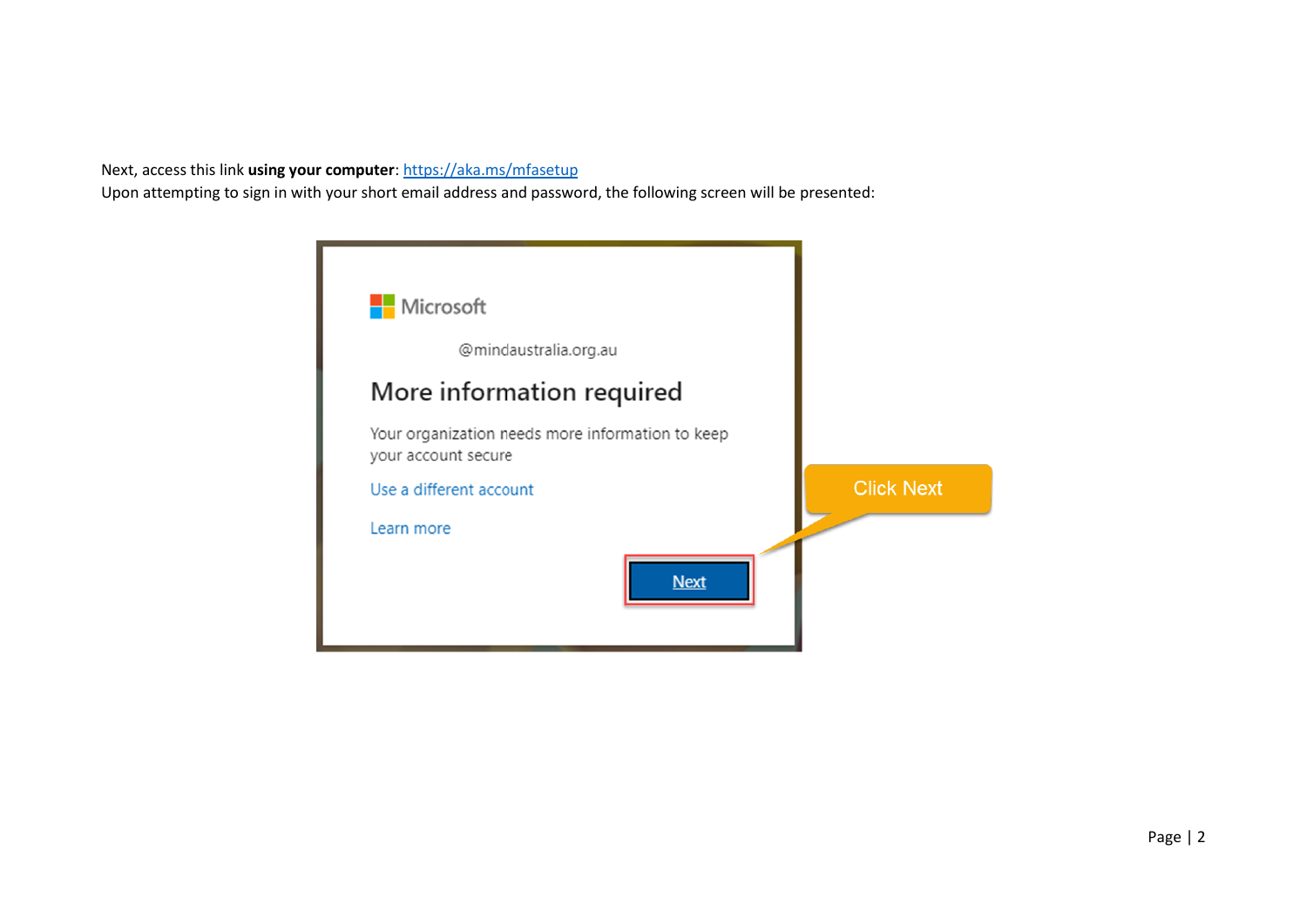Next, access this link **using your computer**[: https://aka.ms/mfasetup](https://aka.ms/mfasetup)

Upon attempting to sign in with your short email address and password, the following screen will be presented:

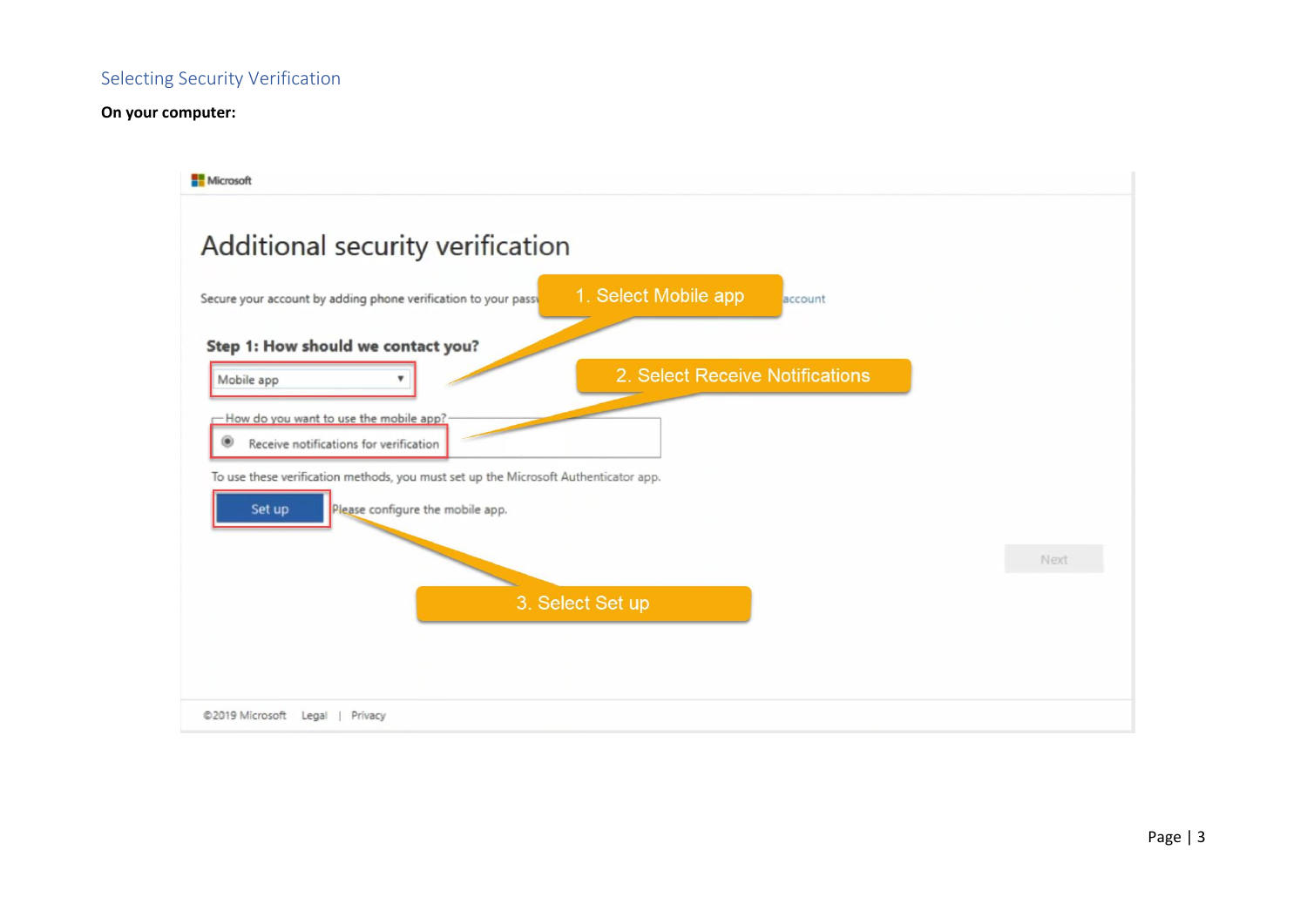# Selecting Security Verification

### **On your computer:**

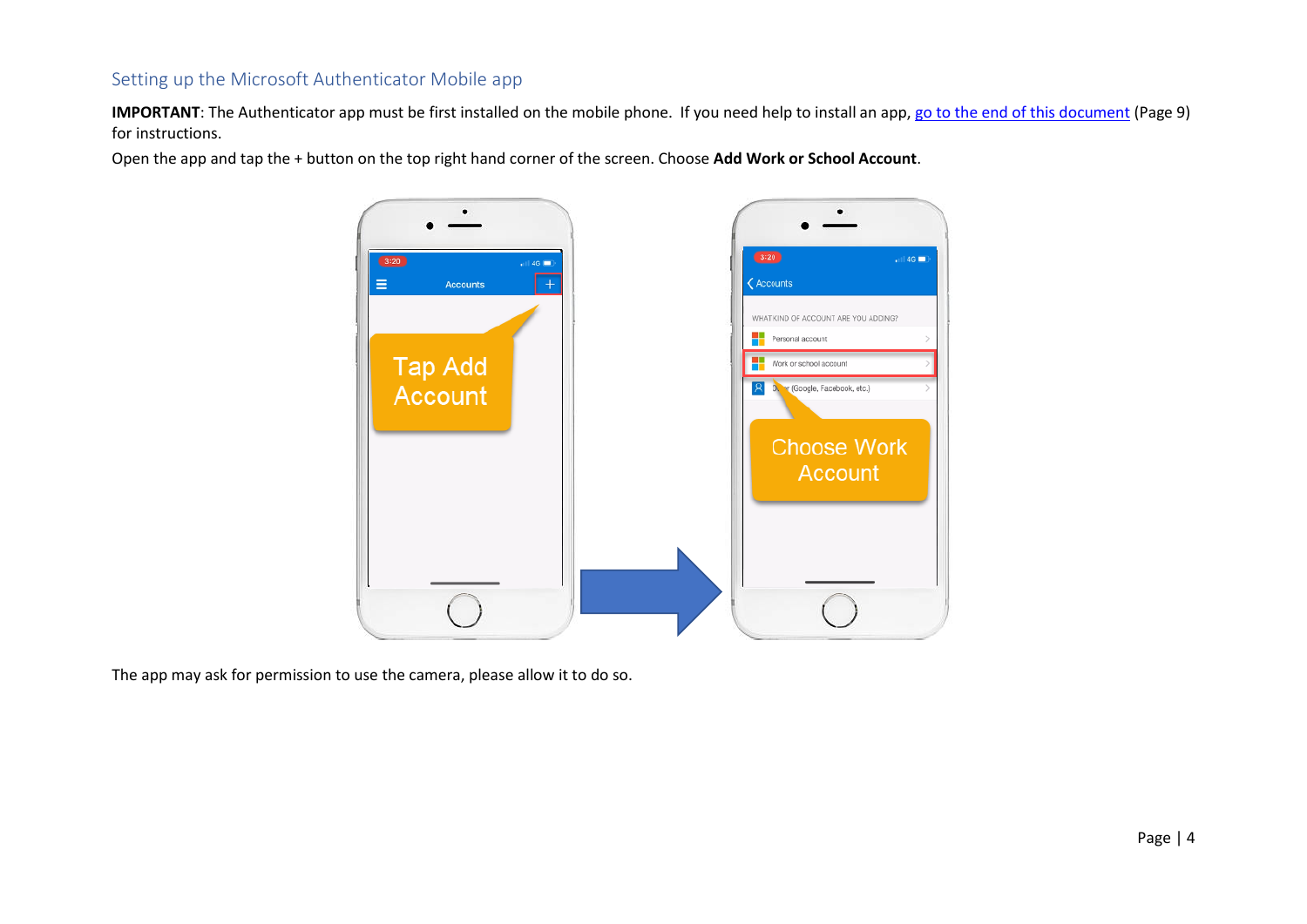# Setting up the Microsoft Authenticator Mobile app

**IMPORTANT**: The Authenticator app must be first installed on the mobile phone. If you need help to install an app, [go to the end of this document](#page-8-0) (Page 9) for instructions.

Open the app and tap the + button on the top right hand corner of the screen. Choose **Add Work or School Account**.

![](_page_3_Figure_3.jpeg)

The app may ask for permission to use the camera, please allow it to do so.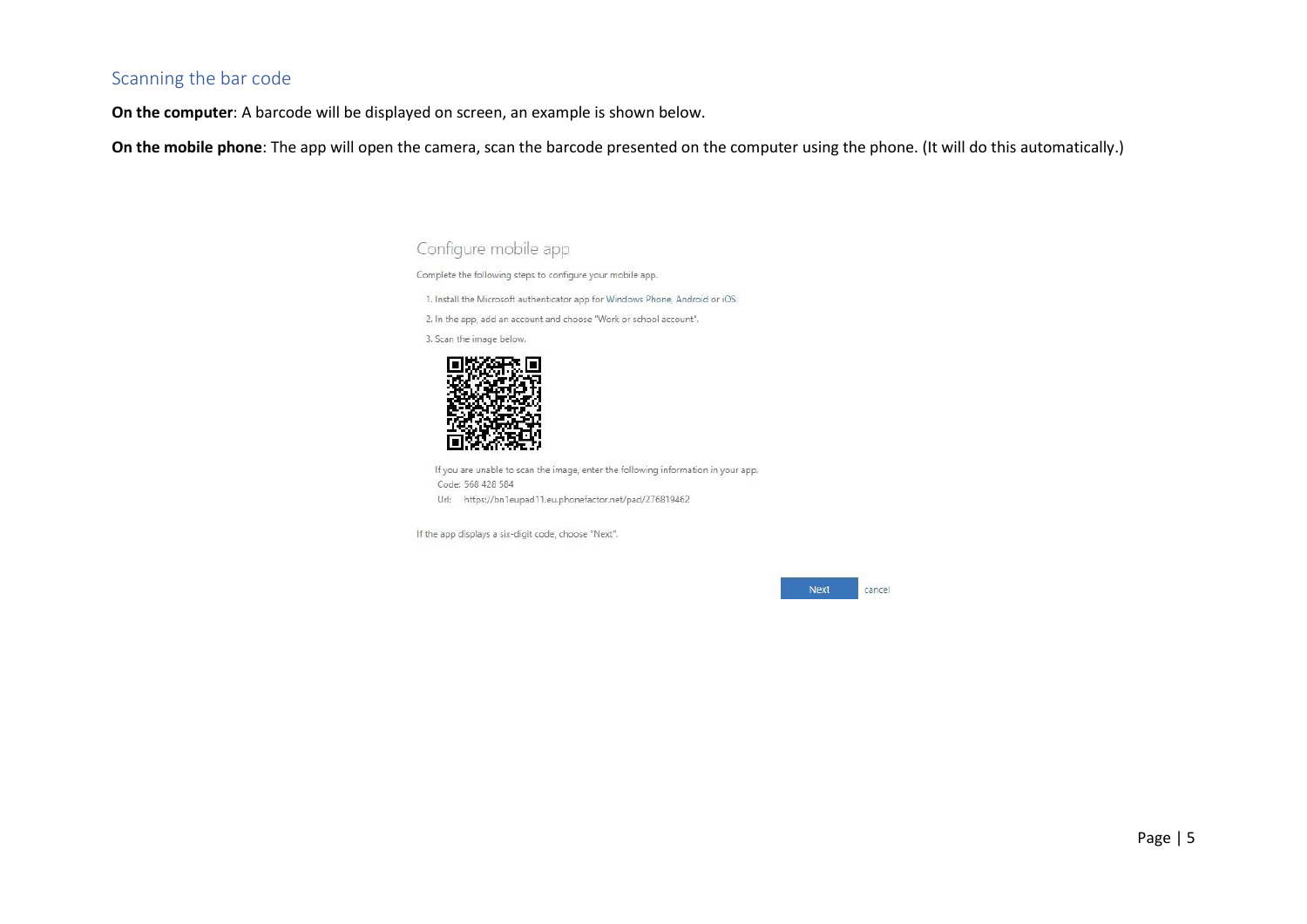# Scanning the bar code

**On the computer**: A barcode will be displayed on screen, an example is shown below.

**On the mobile phone**: The app will open the camera, scan the barcode presented on the computer using the phone. (It will do this automatically.)

Configure mobile app

Complete the following steps to configure your mobile app.

1. Install the Microsoft authenticator app for Windows Phone, Android or iOS.

2. In the app, add an account and choose "Work or school account".

3. Scan the image below.

![](_page_4_Picture_8.jpeg)

If you are unable to scan the image, enter the following information in your app. Code: 568 428 584 Url: https://bn1eupad11.eu.phonefactor.net/pad/276819462

If the app displays a six-digit code, choose "Next".

Next cancel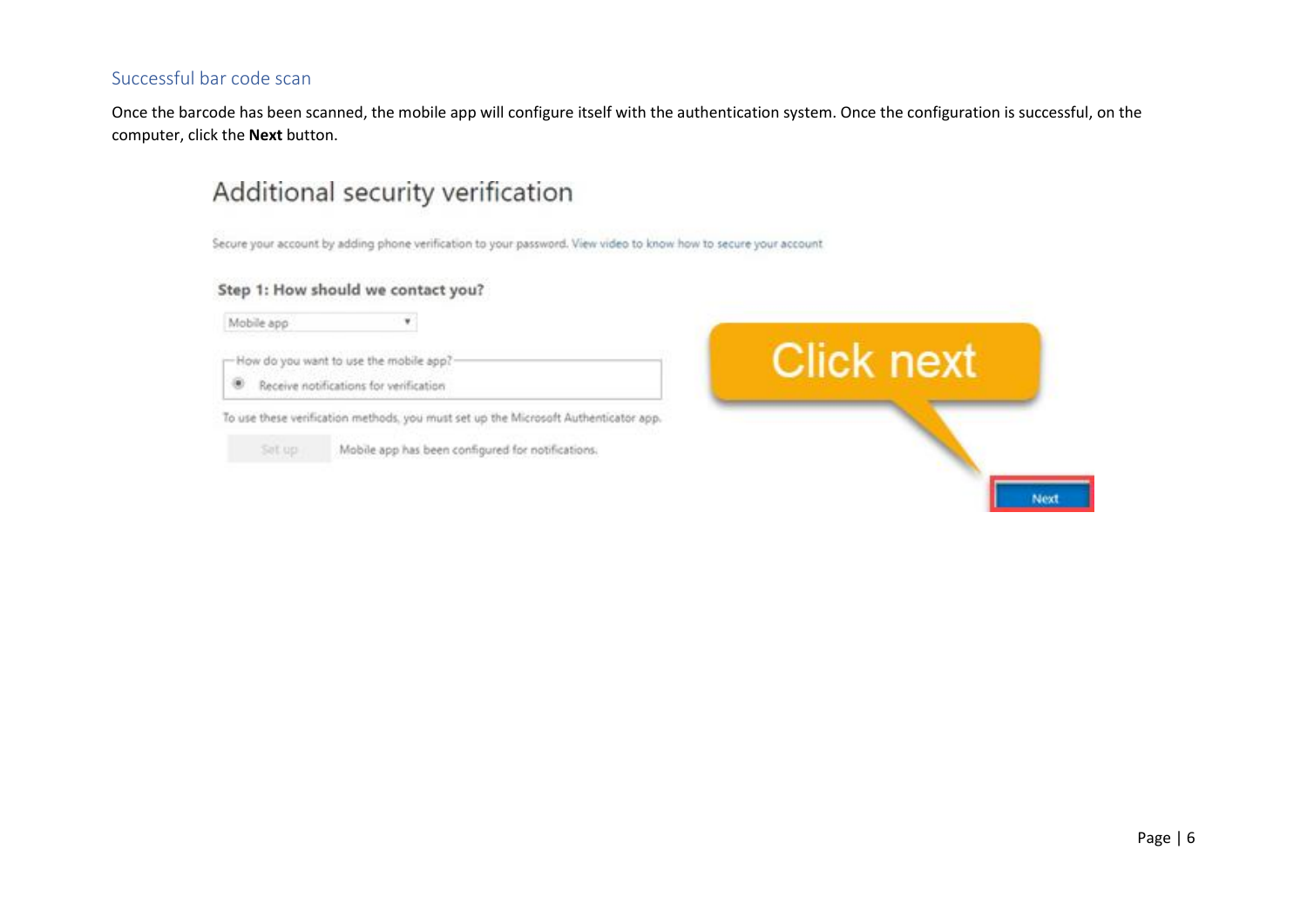# Successful bar code scan

Once the barcode has been scanned, the mobile app will configure itself with the authentication system. Once the configuration is successful, on the computer, click the **Next** button.

# Additional security verification

Secure your account by adding phone verification to your password. View video to know how to secure your account

#### Step 1: How should we contact you?

![](_page_5_Picture_5.jpeg)

 $\mathbf{v}$ 

-How do you want to use the mobile app?

Receive notifications for verification

To use these verification methods, you must set up the Microsoft Authenticator app.

![](_page_5_Picture_10.jpeg)

Mobile app has been configured for notifications.

![](_page_5_Picture_12.jpeg)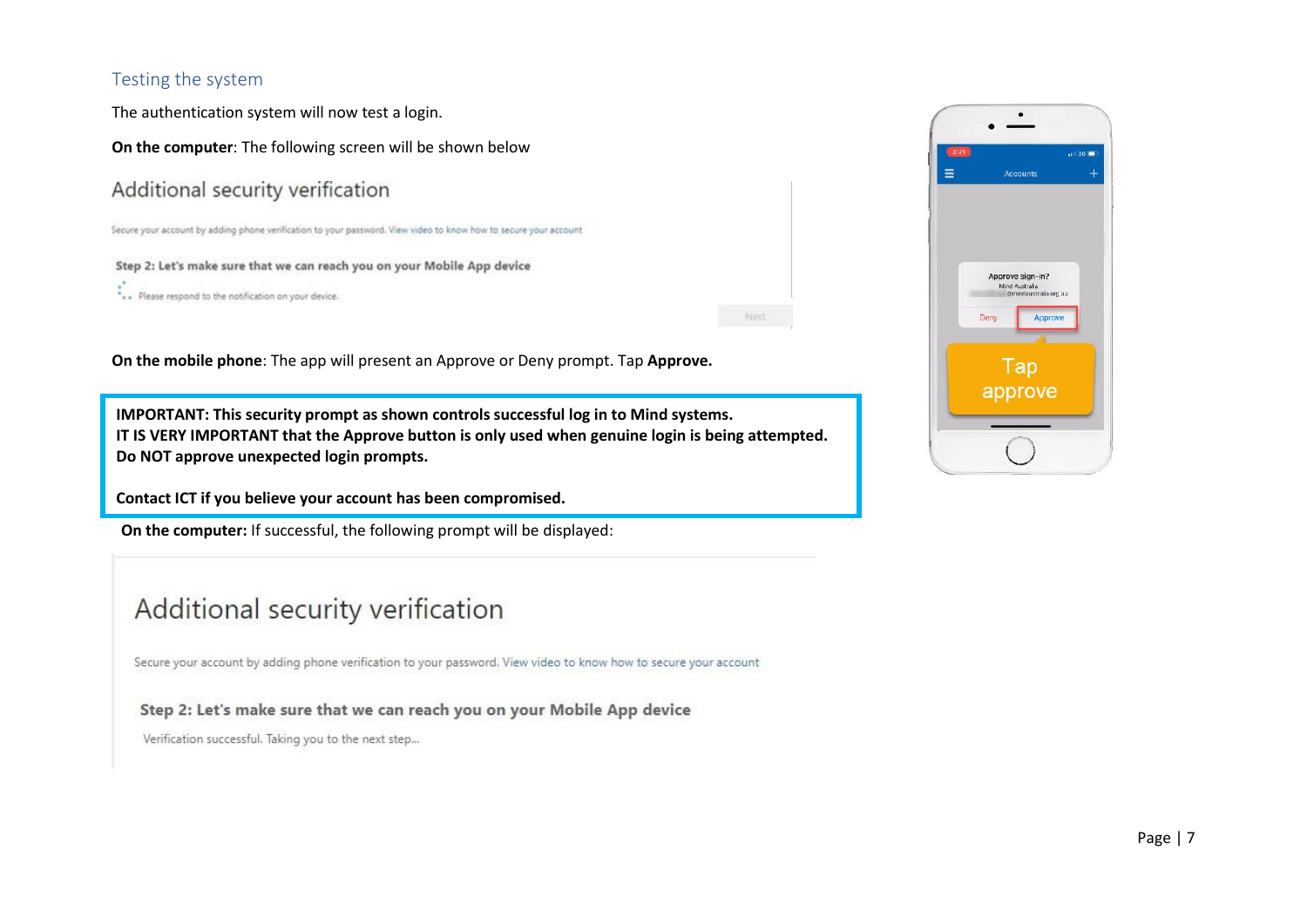# Testing the system

The authentication system will now test a login.

**On the computer**: The following screen will be shown below

# Additional security verification

Secure your account by adding phone verification to your password. View video to know how to secure your account

#### Step 2: Let's make sure that we can reach you on your Mobile App device

 $\stackrel{*}{\cdot}$  . Please respond to the notification on your device.

Next :

**On the mobile phone**: The app will present an Approve or Deny prompt. Tap **Approve.**

**IMPORTANT: This security prompt as shown controls successful log in to Mind systems. IT IS VERY IMPORTANT that the Approve button is only used when genuine login is being attempted. Do NOT approve unexpected login prompts.** 

Contact ICT if you believe your account has been compromised.

**On the computer:** If successful, the following prompt will be displayed:

# Additional security verification

Secure your account by adding phone verification to your password. View video to know how to secure your account

Step 2: Let's make sure that we can reach you on your Mobile App device

Verification successful. Taking you to the next step...

![](_page_6_Picture_16.jpeg)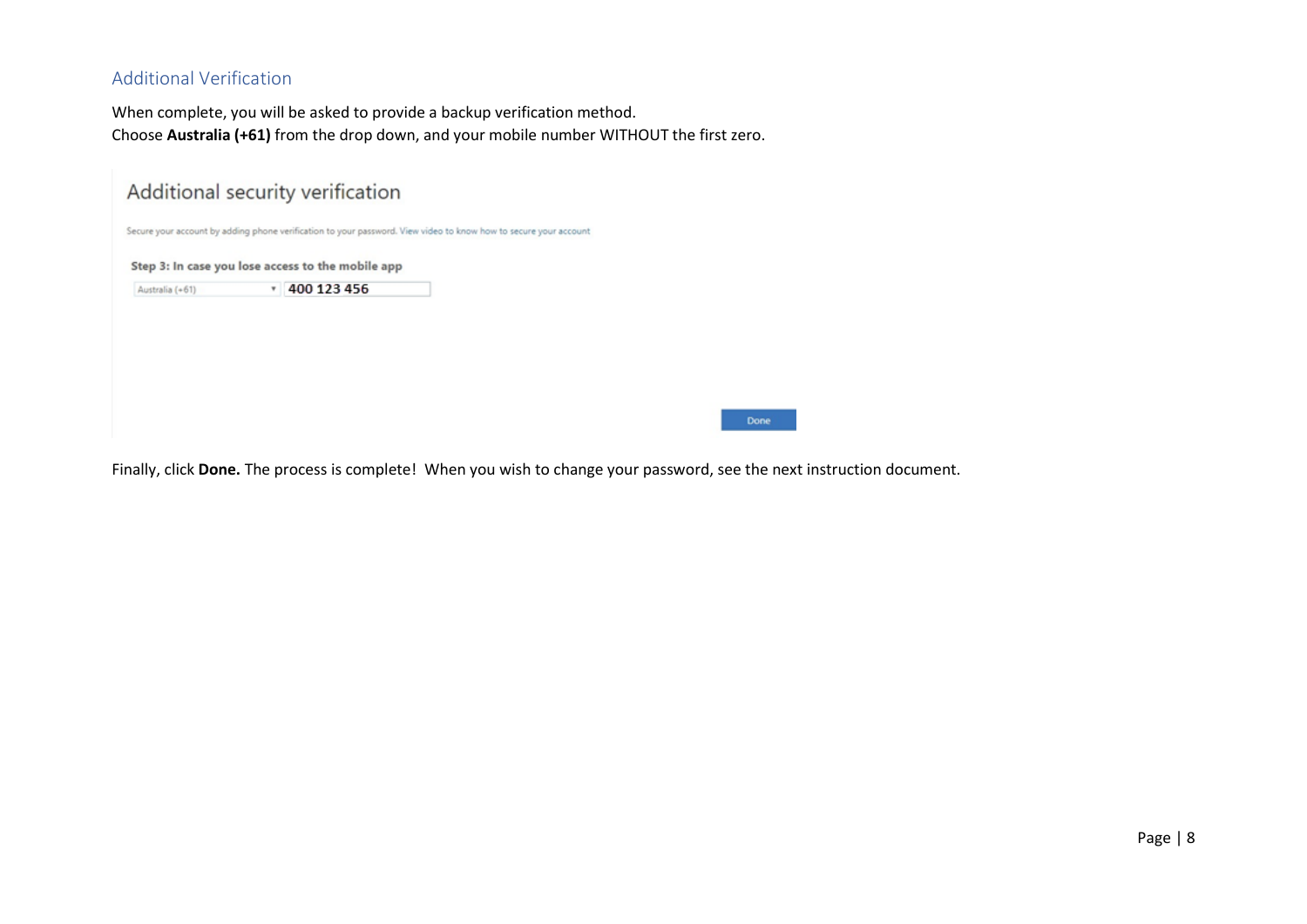# Additional Verification

When complete, you will be asked to provide a backup verification method. Choose **Australia (+61)** from the drop down, and your mobile number WITHOUT the first zero.

|                 | Additional security verification                                                                                 |  |  |
|-----------------|------------------------------------------------------------------------------------------------------------------|--|--|
|                 | Secure your account by adding phone verification to your password. View video to know how to secure your account |  |  |
|                 | Step 3: In case you lose access to the mobile app                                                                |  |  |
| Australia (+61) | 400 123 456                                                                                                      |  |  |
|                 |                                                                                                                  |  |  |
|                 |                                                                                                                  |  |  |
|                 |                                                                                                                  |  |  |
|                 |                                                                                                                  |  |  |
|                 |                                                                                                                  |  |  |

Finally, click **Done.** The process is complete! When you wish to change your password, see the next instruction document.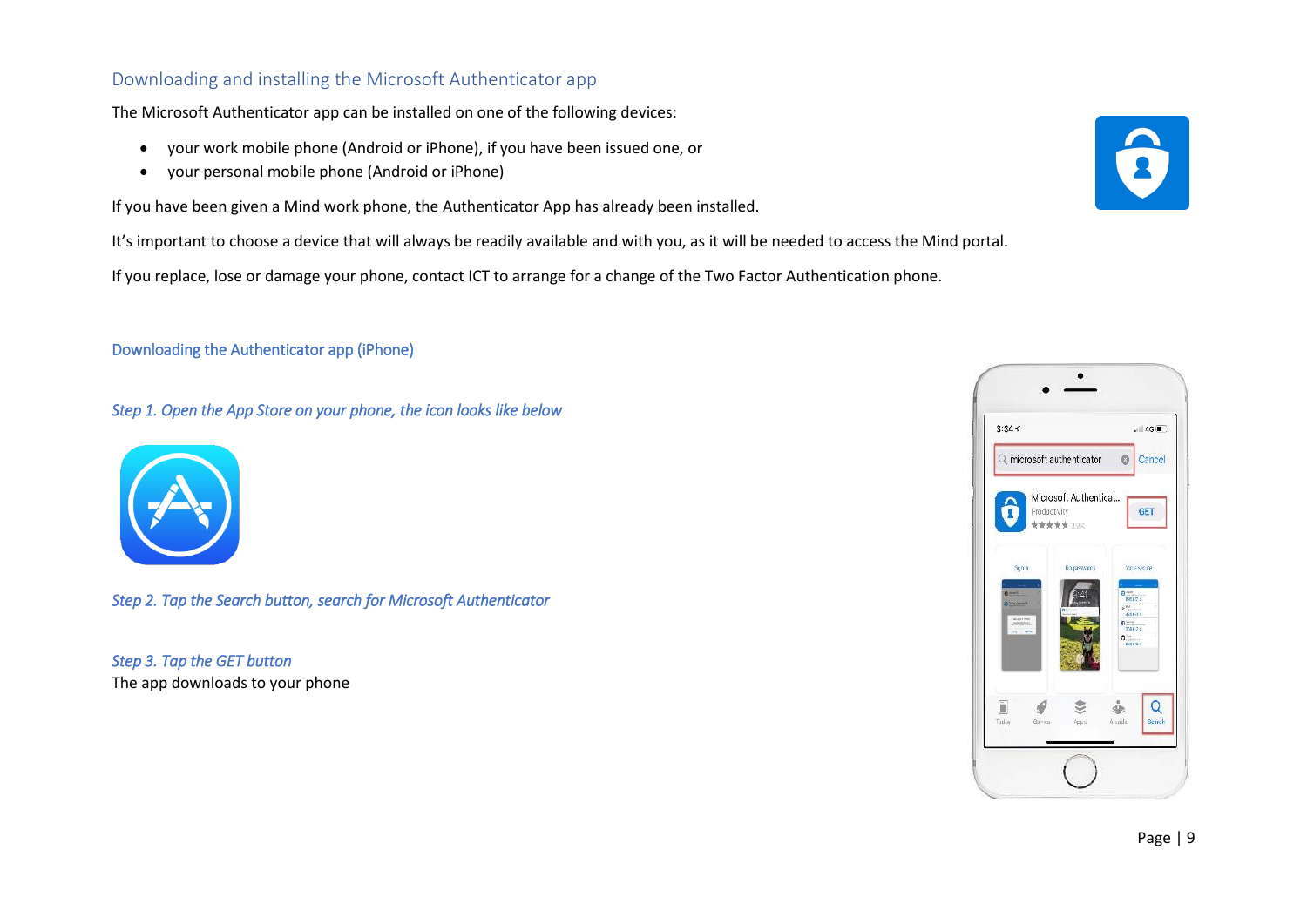# <span id="page-8-0"></span>Downloading and installing the Microsoft Authenticator app

The Microsoft Authenticator app can be installed on one of the following devices:

- your work mobile phone (Android or iPhone), if you have been issued one, or
- your personal mobile phone (Android or iPhone)

If you have been given a Mind work phone, the Authenticator App has already been installed.

It's important to choose a device that will always be readily available and with you, as it will be needed to access the Mind portal.

If you replace, lose or damage your phone, contact ICT to arrange for a change of the Two Factor Authentication phone.

## Downloading the Authenticator app (iPhone)

*Step 1. Open the App Store on your phone, the icon looks like below* 

![](_page_8_Picture_9.jpeg)

*Step 2. Tap the Search button, search for Microsoft Authenticator* 

*Step 3. Tap the GET button*  The app downloads to your phone

![](_page_8_Picture_12.jpeg)

![](_page_8_Picture_13.jpeg)